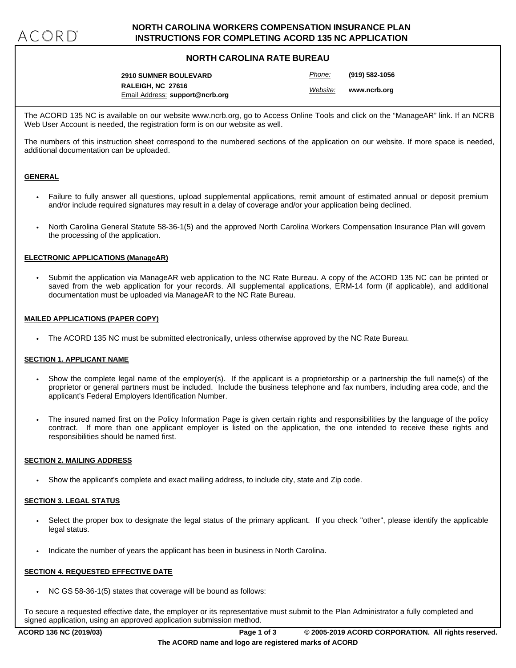## **NORTH CAROLINA WORKERS COMPENSATION INSURANCE PLAN INSTRUCTIONS FOR COMPLETING ACORD 135 NC APPLICATION**

## **NORTH CAROLINA RATE BUREAU**

**RALEIGH, NC 27616 2910 SUMNER BOULEVARD** Email Address: **support@ncrb.org** *Website:* **www.ncrb.org** *Phone:* **(919) 582-1056**

The ACORD 135 NC is available on our website www.ncrb.org, go to Access Online Tools and click on the "ManageAR" link. If an NCRB Web User Account is needed, the registration form is on our website as well.

The numbers of this instruction sheet correspond to the numbered sections of the application on our website. If more space is needed, additional documentation can be uploaded.

### **GENERAL**

- Failure to fully answer all questions, upload supplemental applications, remit amount of estimated annual or deposit premium and/or include required signatures may result in a delay of coverage and/or your application being declined.
- North Carolina General Statute 58-36-1(5) and the approved North Carolina Workers Compensation Insurance Plan will govern ( the processing of the application.

### **ELECTRONIC APPLICATIONS (ManageAR)**

• Submit the application via ManageAR web application to the NC Rate Bureau. A copy of the ACORD 135 NC can be printed or saved from the web application for your records. All supplemental applications, ERM-14 form (if applicable), and additional documentation must be uploaded via ManageAR to the NC Rate Bureau.

### **MAILED APPLICATIONS (PAPER COPY)**

• The ACORD 135 NC must be submitted electronically, unless otherwise approved by the NC Rate Bureau.

### **SECTION 1. APPLICANT NAME**

- Show the complete legal name of the employer(s). If the applicant is a proprietorship or a partnership the full name(s) of the proprietor or general partners must be included. Include the business telephone and fax numbers, including area code, and the applicant's Federal Employers Identification Number.
- The insured named first on the Policy Information Page is given certain rights and responsibilities by the language of the policy contract. If more than one applicant employer is listed on the application, the one intended to receive these rights and responsibilities should be named first.

### **SECTION 2. MAILING ADDRESS**

• Show the applicant's complete and exact mailing address, to include city, state and Zip code.

# **SECTION 3. LEGAL STATUS**

- Select the proper box to designate the legal status of the primary applicant. If you check "other", please identify the applicable legal status.
- Indicate the number of years the applicant has been in business in North Carolina.

# **SECTION 4. REQUESTED EFFECTIVE DATE**

• NC GS 58-36-1(5) states that coverage will be bound as follows:

To secure a requested effective date, the employer or its representative must submit to the Plan Administrator a fully completed and signed application, using an approved application submission method.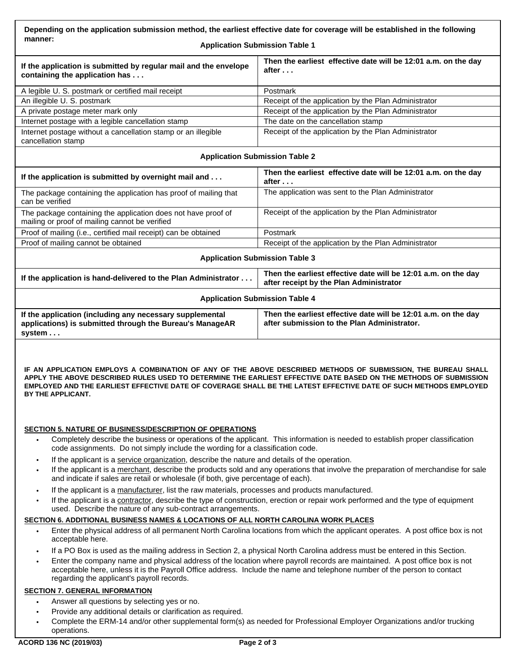| Depending on the application submission method, the earliest effective date for coverage will be established in the following |  |
|-------------------------------------------------------------------------------------------------------------------------------|--|
| manner:<br>.                                                                                                                  |  |

#### **Application Submission Table 1**

| If the application is submitted by regular mail and the envelope<br>containing the application has | Then the earliest effective date will be 12:01 a.m. on the day<br>after |
|----------------------------------------------------------------------------------------------------|-------------------------------------------------------------------------|
| A legible U. S. postmark or certified mail receipt                                                 | Postmark                                                                |
| An illegible U. S. postmark                                                                        | Receipt of the application by the Plan Administrator                    |
| A private postage meter mark only                                                                  | Receipt of the application by the Plan Administrator                    |
| Internet postage with a legible cancellation stamp                                                 | The date on the cancellation stamp                                      |
| Internet postage without a cancellation stamp or an illegible<br>cancellation stamp                | Receipt of the application by the Plan Administrator                    |

#### **Application Submission Table 2**

| Then the earliest effective date will be 12:01 a.m. on the day<br>after                                   |
|-----------------------------------------------------------------------------------------------------------|
| The application was sent to the Plan Administrator                                                        |
| Receipt of the application by the Plan Administrator                                                      |
| Postmark                                                                                                  |
| Receipt of the application by the Plan Administrator                                                      |
| <b>Application Submission Table 3</b>                                                                     |
| Then the earliest effective date will be 12:01 a.m. on the day<br>after receipt by the Plan Administrator |
|                                                                                                           |
| <b>Application Submission Table 4</b>                                                                     |
|                                                                                                           |

**IF AN APPLICATION EMPLOYS A COMBINATION OF ANY OF THE ABOVE DESCRIBED METHODS OF SUBMISSION, THE BUREAU SHALL APPLY THE ABOVE DESCRIBED RULES USED TO DETERMINE THE EARLIEST EFFECTIVE DATE BASED ON THE METHODS OF SUBMISSION EMPLOYED AND THE EARLIEST EFFECTIVE DATE OF COVERAGE SHALL BE THE LATEST EFFECTIVE DATE OF SUCH METHODS EMPLOYED BY THE APPLICANT.**

### **SECTION 5. NATURE OF BUSINESS/DESCRIPTION OF OPERATIONS**

- Completely describe the business or operations of the applicant. This information is needed to establish proper classification code assignments. Do not simply include the wording for a classification code. •
- If the applicant is a service organization, describe the nature and details of the operation.
- If the applicant is a merchant, describe the products sold and any operations that involve the preparation of merchandise for sale and indicate if sales are retail or wholesale (if both, give percentage of each). •
- If the applicant is a manufacturer, list the raw materials, processes and products manufactured.
- If the applicant is a contractor, describe the type of construction, erection or repair work performed and the type of equipment used. Describe the nature of any sub-contract arrangements.

- Enter the physical address of all permanent North Carolina locations from which the applicant operates. A post office box is not **SECTION 6. ADDITIONAL BUSINESS NAMES & LOCATIONS OF ALL NORTH CAROLINA WORK PLACES**<br>• Enter the physical address of all permanent North Carolina locations from which the applicant operates. A<br>acceptable here.
	- If a PO Box is used as the mailing address in Section 2, a physical North Carolina address must be entered in this Section.
	- Enter the company name and physical address of the location where payroll records are maintained. A post office box is not acceptable here, unless it is the Payroll Office address. Include the name and telephone number of the person to contact regarding the applicant's payroll records.

### **SECTION 7. GENERAL INFORMATION**

- 
- Answer all questions by selecting yes or no.<br>Provide any additional details or clarification as required.
- Complete the ERM-14 and/or other supplemental form(s) as needed for Professional Employer Organizations and/or trucking operations. •